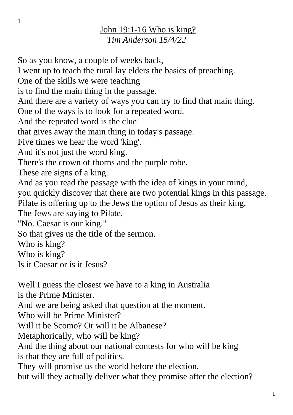## John 19:1-16 Who is king? *Tim Anderson 15/4/22*

So as you know, a couple of weeks back, I went up to teach the rural lay elders the basics of preaching. One of the skills we were teaching is to find the main thing in the passage. And there are a variety of ways you can try to find that main thing. One of the ways is to look for a repeated word. And the repeated word is the clue that gives away the main thing in today's passage. Five times we hear the word 'king'. And it's not just the word king. There's the crown of thorns and the purple robe. These are signs of a king. And as you read the passage with the idea of kings in your mind, you quickly discover that there are two potential kings in this passage. Pilate is offering up to the Jews the option of Jesus as their king. The Jews are saying to Pilate, "No. Caesar is our king." So that gives us the title of the sermon. Who is king? Who is king? Is it Caesar or is it Jesus? Well I guess the closest we have to a king in Australia is the Prime Minister.

And we are being asked that question at the moment.

Who will be Prime Minister?

Will it be Scomo? Or will it be Albanese?

Metaphorically, who will be king?

And the thing about our national contests for who will be king is that they are full of politics.

They will promise us the world before the election,

but will they actually deliver what they promise after the election?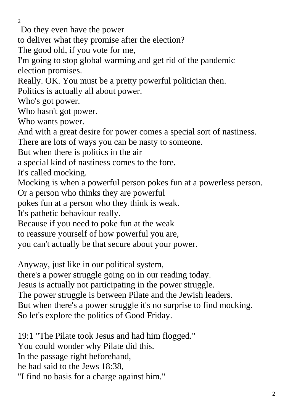$\mathcal{L}$ 

Do they even have the power

to deliver what they promise after the election?

The good old, if you vote for me,

I'm going to stop global warming and get rid of the pandemic election promises.

Really. OK. You must be a pretty powerful politician then.

Politics is actually all about power.

Who's got power.

Who hasn't got power.

Who wants power.

And with a great desire for power comes a special sort of nastiness.

There are lots of ways you can be nasty to someone.

But when there is politics in the air

a special kind of nastiness comes to the fore.

It's called mocking.

Mocking is when a powerful person pokes fun at a powerless person.

Or a person who thinks they are powerful

pokes fun at a person who they think is weak.

It's pathetic behaviour really.

Because if you need to poke fun at the weak

to reassure yourself of how powerful you are,

you can't actually be that secure about your power.

Anyway, just like in our political system,

there's a power struggle going on in our reading today.

Jesus is actually not participating in the power struggle.

The power struggle is between Pilate and the Jewish leaders.

But when there's a power struggle it's no surprise to find mocking. So let's explore the politics of Good Friday.

19:1 "The Pilate took Jesus and had him flogged." You could wonder why Pilate did this. In the passage right beforehand, he had said to the Jews 18:38, "I find no basis for a charge against him."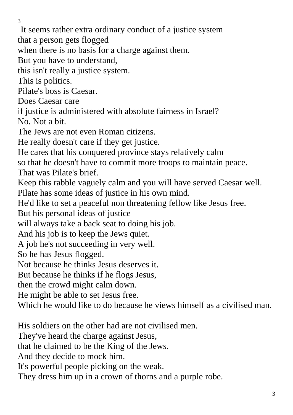It seems rather extra ordinary conduct of a justice system

that a person gets flogged

when there is no basis for a charge against them.

But you have to understand,

this isn't really a justice system.

This is politics.

Pilate's boss is Caesar.

Does Caesar care

if justice is administered with absolute fairness in Israel?

No. Not a bit.

The Jews are not even Roman citizens.

He really doesn't care if they get justice.

He cares that his conquered province stays relatively calm

so that he doesn't have to commit more troops to maintain peace.

That was Pilate's brief.

Keep this rabble vaguely calm and you will have served Caesar well. Pilate has some ideas of justice in his own mind.

He'd like to set a peaceful non threatening fellow like Jesus free.

But his personal ideas of justice

will always take a back seat to doing his job.

And his job is to keep the Jews quiet.

A job he's not succeeding in very well.

So he has Jesus flogged.

Not because he thinks Jesus deserves it.

But because he thinks if he flogs Jesus,

then the crowd might calm down.

He might be able to set Jesus free.

Which he would like to do because he views himself as a civilised man.

His soldiers on the other had are not civilised men.

They've heard the charge against Jesus,

that he claimed to be the King of the Jews.

And they decide to mock him.

It's powerful people picking on the weak.

They dress him up in a crown of thorns and a purple robe.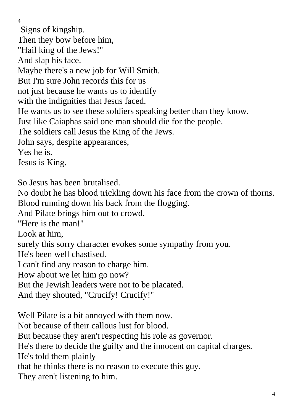Signs of kingship. Then they bow before him, "Hail king of the Jews!" And slap his face. Maybe there's a new job for Will Smith. But I'm sure John records this for us not just because he wants us to identify with the indignities that Jesus faced. He wants us to see these soldiers speaking better than they know. Just like Caiaphas said one man should die for the people. The soldiers call Jesus the King of the Jews. John says, despite appearances, Yes he is. Jesus is King. So Jesus has been brutalised.

No doubt he has blood trickling down his face from the crown of thorns. Blood running down his back from the flogging.

And Pilate brings him out to crowd.

"Here is the man!"

Look at him,

surely this sorry character evokes some sympathy from you.

He's been well chastised.

I can't find any reason to charge him.

How about we let him go now?

But the Jewish leaders were not to be placated.

And they shouted, "Crucify! Crucify!"

Well Pilate is a bit annoyed with them now. Not because of their callous lust for blood. But because they aren't respecting his role as governor. He's there to decide the guilty and the innocent on capital charges. He's told them plainly that he thinks there is no reason to execute this guy. They aren't listening to him.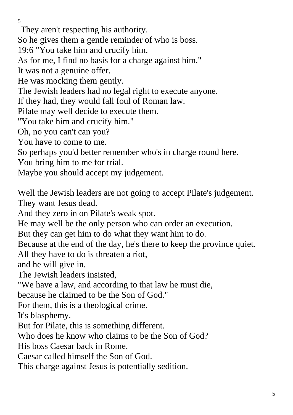They aren't respecting his authority.

So he gives them a gentle reminder of who is boss.

19:6 "You take him and crucify him.

As for me, I find no basis for a charge against him."

It was not a genuine offer.

He was mocking them gently.

The Jewish leaders had no legal right to execute anyone.

If they had, they would fall foul of Roman law.

Pilate may well decide to execute them.

"You take him and crucify him."

Oh, no you can't can you?

You have to come to me.

So perhaps you'd better remember who's in charge round here.

You bring him to me for trial.

Maybe you should accept my judgement.

Well the Jewish leaders are not going to accept Pilate's judgement. They want Jesus dead.

And they zero in on Pilate's weak spot.

He may well be the only person who can order an execution.

But they can get him to do what they want him to do.

Because at the end of the day, he's there to keep the province quiet.

All they have to do is threaten a riot,

and he will give in.

The Jewish leaders insisted,

"We have a law, and according to that law he must die,

because he claimed to be the Son of God."

For them, this is a theological crime.

It's blasphemy.

But for Pilate, this is something different.

Who does he know who claims to be the Son of God?

His boss Caesar back in Rome.

Caesar called himself the Son of God.

This charge against Jesus is potentially sedition.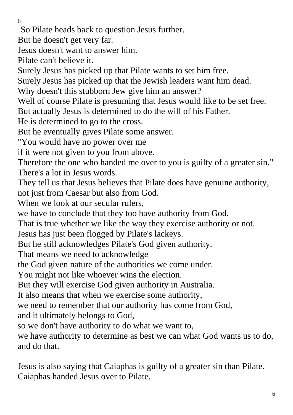So Pilate heads back to question Jesus further.

But he doesn't get very far.

Jesus doesn't want to answer him.

Pilate can't believe it.

Surely Jesus has picked up that Pilate wants to set him free.

Surely Jesus has picked up that the Jewish leaders want him dead.

Why doesn't this stubborn Jew give him an answer?

Well of course Pilate is presuming that Jesus would like to be set free.

But actually Jesus is determined to do the will of his Father.

He is determined to go to the cross.

But he eventually gives Pilate some answer.

"You would have no power over me

if it were not given to you from above.

Therefore the one who handed me over to you is guilty of a greater sin." There's a lot in Jesus words.

They tell us that Jesus believes that Pilate does have genuine authority, not just from Caesar but also from God.

When we look at our secular rulers.

we have to conclude that they too have authority from God.

That is true whether we like the way they exercise authority or not.

Jesus has just been flogged by Pilate's lackeys.

But he still acknowledges Pilate's God given authority.

That means we need to acknowledge

the God given nature of the authorities we come under.

You might not like whoever wins the election.

But they will exercise God given authority in Australia.

It also means that when we exercise some authority,

we need to remember that our authority has come from God,

and it ultimately belongs to God,

so we don't have authority to do what we want to,

we have authority to determine as best we can what God wants us to do, and do that.

Jesus is also saying that Caiaphas is guilty of a greater sin than Pilate. Caiaphas handed Jesus over to Pilate.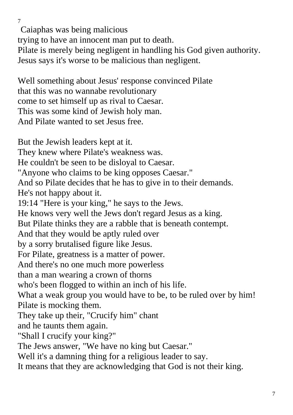Caiaphas was being malicious trying to have an innocent man put to death. Pilate is merely being negligent in handling his God given authority. Jesus says it's worse to be malicious than negligent.

Well something about Jesus' response convinced Pilate that this was no wannabe revolutionary come to set himself up as rival to Caesar. This was some kind of Jewish holy man. And Pilate wanted to set Jesus free.

7

But the Jewish leaders kept at it. They knew where Pilate's weakness was. He couldn't be seen to be disloyal to Caesar. "Anyone who claims to be king opposes Caesar." And so Pilate decides that he has to give in to their demands. He's not happy about it. 19:14 "Here is your king," he says to the Jews. He knows very well the Jews don't regard Jesus as a king. But Pilate thinks they are a rabble that is beneath contempt. And that they would be aptly ruled over by a sorry brutalised figure like Jesus. For Pilate, greatness is a matter of power. And there's no one much more powerless than a man wearing a crown of thorns who's been flogged to within an inch of his life. What a weak group you would have to be, to be ruled over by him! Pilate is mocking them. They take up their, "Crucify him" chant and he taunts them again. "Shall I crucify your king?" The Jews answer, "We have no king but Caesar." Well it's a damning thing for a religious leader to say. It means that they are acknowledging that God is not their king.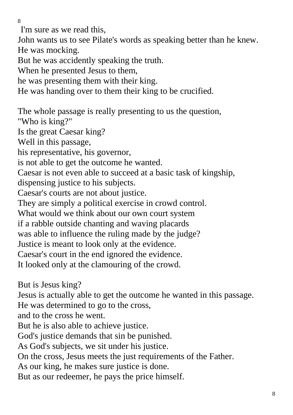I'm sure as we read this,

John wants us to see Pilate's words as speaking better than he knew. He was mocking.

But he was accidently speaking the truth.

When he presented Jesus to them,

he was presenting them with their king.

He was handing over to them their king to be crucified.

The whole passage is really presenting to us the question, "Who is king?" Is the great Caesar king? Well in this passage, his representative, his governor, is not able to get the outcome he wanted. Caesar is not even able to succeed at a basic task of kingship, dispensing justice to his subjects. Caesar's courts are not about justice. They are simply a political exercise in crowd control. What would we think about our own court system if a rabble outside chanting and waving placards was able to influence the ruling made by the judge? Justice is meant to look only at the evidence. Caesar's court in the end ignored the evidence. It looked only at the clamouring of the crowd.

But is Jesus king?

Jesus is actually able to get the outcome he wanted in this passage.

He was determined to go to the cross,

and to the cross he went.

But he is also able to achieve justice.

God's justice demands that sin be punished.

As God's subjects, we sit under his justice.

On the cross, Jesus meets the just requirements of the Father.

As our king, he makes sure justice is done.

But as our redeemer, he pays the price himself.